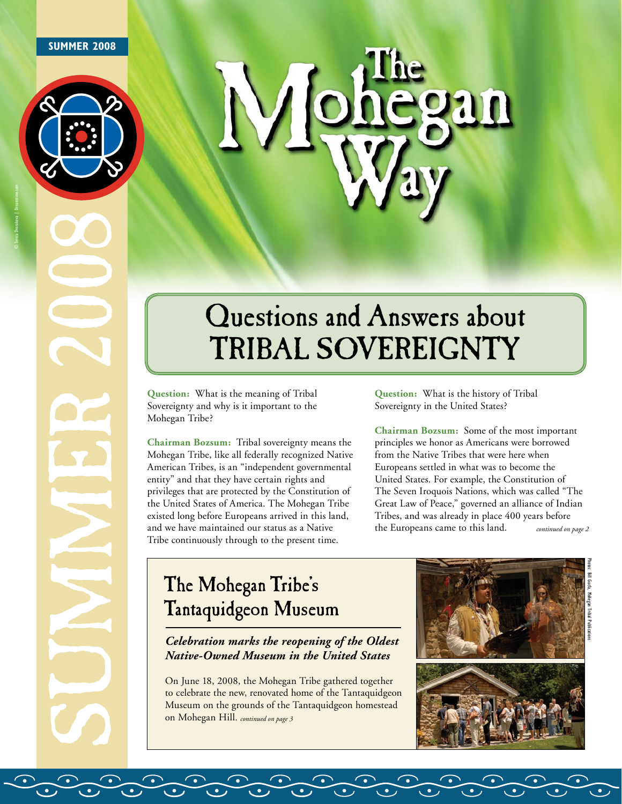### **SUMMER 2008**

© Tereza Dvorakova | Dreamstime.com





# Questions and Answers about Tribal Sovereignty

**Question:** What is the meaning of Tribal Sovereignty and why is it important to the Mohegan Tribe?

**Chairman Bozsum:** Tribal sovereignty means the Mohegan Tribe, like all federally recognized Native American Tribes, is an "independent governmental entity" and that they have certain rights and privileges that are protected by the Constitution of the United States of America. The Mohegan Tribe existed long before Europeans arrived in this land, and we have maintained our status as a Native Tribe continuously through to the present time.

**Question:** What is the history of Tribal Sovereignty in the United States?

**Chairman Bozsum:** Some of the most important principles we honor as Americans were borrowed from the Native Tribes that were here when Europeans settled in what was to become the United States. For example, the Constitution of The Seven Iroquois Nations, which was called "The Great Law of Peace," governed an alliance of Indian Tribes, and was already in place 400 years before the Europeans came to this land. *continued on page 2*

# The Mohegan Tribe's Tantaquidgeon Museum

*Celebration marks the reopening of the Oldest Native-Owned Museum in the United States* 

On June 18, 2008, the Mohegan Tribe gathered together to celebrate the new, renovated home of the Tantaquidgeon Museum on the grounds of the Tantaquidgeon homestead on Mohegan Hill. *continued on page 3*

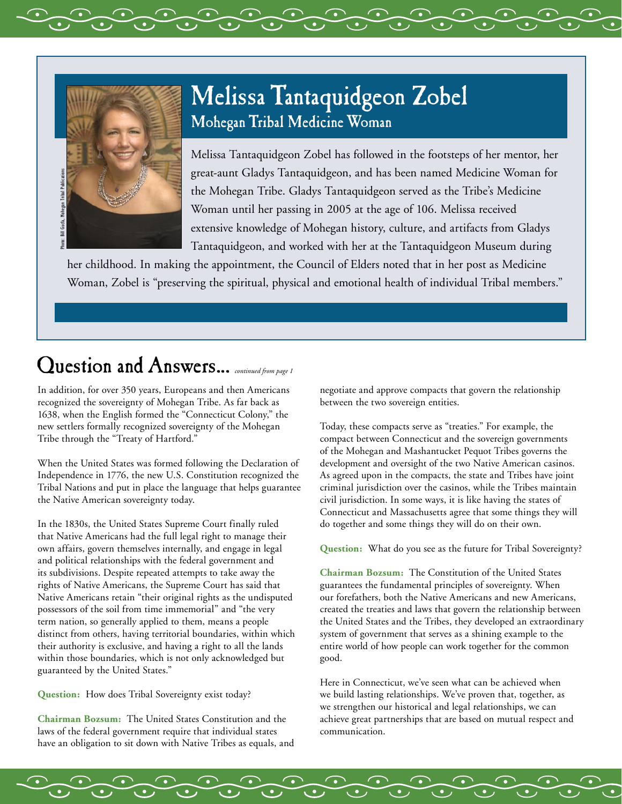

# Melissa Tantaquidgeon Zobel Mohegan Tribal Medicine Woman

Melissa Tantaquidgeon Zobel has followed in the footsteps of her mentor, her great-aunt Gladys Tantaquidgeon, and has been named Medicine Woman for the Mohegan Tribe. Gladys Tantaquidgeon served as the Tribe's Medicine Woman until her passing in 2005 at the age of 106. Melissa received extensive knowledge of Mohegan history, culture, and artifacts from Gladys Tantaquidgeon, and worked with her at the Tantaquidgeon Museum during

her childhood. In making the appointment, the Council of Elders noted that in her post as Medicine Woman, Zobel is "preserving the spiritual, physical and emotional health of individual Tribal members."

# Question and Answers... *continued from page 1*

In addition, for over 350 years, Europeans and then Americans recognized the sovereignty of Mohegan Tribe. As far back as 1638, when the English formed the "Connecticut Colony," the new settlers formally recognized sovereignty of the Mohegan Tribe through the "Treaty of Hartford."

When the United States was formed following the Declaration of Independence in 1776, the new U.S. Constitution recognized the Tribal Nations and put in place the language that helps guarantee the Native American sovereignty today.

In the 1830s, the United States Supreme Court finally ruled that Native Americans had the full legal right to manage their own affairs, govern themselves internally, and engage in legal and political relationships with the federal government and its subdivisions. Despite repeated attempts to take away the rights of Native Americans, the Supreme Court has said that Native Americans retain "their original rights as the undisputed possessors of the soil from time immemorial" and "the very term nation, so generally applied to them, means a people distinct from others, having territorial boundaries, within which their authority is exclusive, and having a right to all the lands within those boundaries, which is not only acknowledged but guaranteed by the United States."

**Question:** How does Tribal Sovereignty exist today?

**Chairman Bozsum:** The United States Constitution and the laws of the federal government require that individual states have an obligation to sit down with Native Tribes as equals, and negotiate and approve compacts that govern the relationship between the two sovereign entities.

Today, these compacts serve as "treaties." For example, the compact between Connecticut and the sovereign governments of the Mohegan and Mashantucket Pequot Tribes governs the development and oversight of the two Native American casinos. As agreed upon in the compacts, the state and Tribes have joint criminal jurisdiction over the casinos, while the Tribes maintain civil jurisdiction. In some ways, it is like having the states of Connecticut and Massachusetts agree that some things they will do together and some things they will do on their own.

**Question:** What do you see as the future for Tribal Sovereignty?

**Chairman Bozsum:** The Constitution of the United States guarantees the fundamental principles of sovereignty. When our forefathers, both the Native Americans and new Americans, created the treaties and laws that govern the relationship between the United States and the Tribes, they developed an extraordinary system of government that serves as a shining example to the entire world of how people can work together for the common good.

Here in Connecticut, we've seen what can be achieved when we build lasting relationships. We've proven that, together, as we strengthen our historical and legal relationships, we can achieve great partnerships that are based on mutual respect and communication.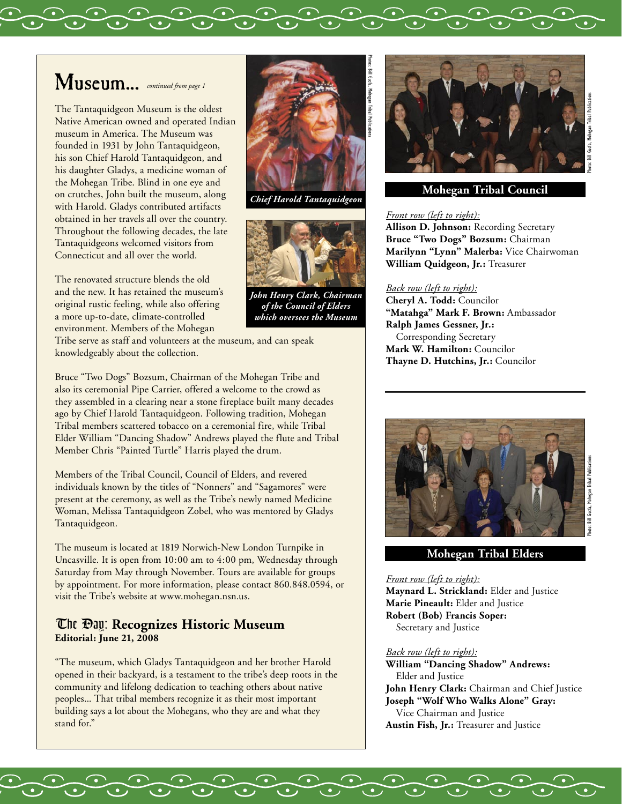# Museum... *continued from page 1*

The Tantaquidgeon Museum is the oldest Native American owned and operated Indian museum in America. The Museum was founded in 1931 by John Tantaquidgeon, his son Chief Harold Tantaquidgeon, and his daughter Gladys, a medicine woman of the Mohegan Tribe. Blind in one eye and on crutches, John built the museum, along with Harold. Gladys contributed artifacts obtained in her travels all over the country. Throughout the following decades, the late Tantaquidgeons welcomed visitors from Connecticut and all over the world.

The renovated structure blends the old and the new. It has retained the museum's original rustic feeling, while also offering a more up-to-date, climate-controlled environment. Members of the Mohegan

Tribe serve as staff and volunteers at the museum, and can speak knowledgeably about the collection.

Bruce "Two Dogs" Bozsum, Chairman of the Mohegan Tribe and also its ceremonial Pipe Carrier, offered a welcome to the crowd as they assembled in a clearing near a stone fireplace built many decades ago by Chief Harold Tantaquidgeon. Following tradition, Mohegan Tribal members scattered tobacco on a ceremonial fire, while Tribal Elder William "Dancing Shadow" Andrews played the flute and Tribal Member Chris "Painted Turtle" Harris played the drum.

Members of the Tribal Council, Council of Elders, and revered individuals known by the titles of "Nonners" and "Sagamores" were present at the ceremony, as well as the Tribe's newly named Medicine Woman, Melissa Tantaquidgeon Zobel, who was mentored by Gladys Tantaquidgeon.

The museum is located at 1819 Norwich-New London Turnpike in Uncasville. It is open from 10:00 am to 4:00 pm, Wednesday through Saturday from May through November. Tours are available for groups by appointment. For more information, please contact 860.848.0594, or visit the Tribe's website at www.mohegan.nsn.us.

# The Day: **Recognizes Historic Museum Editorial: June 21, 2008**

"The museum, which Gladys Tantaquidgeon and her brother Harold opened in their backyard, is a testament to the tribe's deep roots in the community and lifelong dedication to teaching others about native peoples... That tribal members recognize it as their most important building says a lot about the Mohegans, who they are and what they stand for."



Photos: Bill Gucfa, Mohegan Tribal Publications

*Chief Harold Tantaquidgeon*



*John Henry Clark, Chairman of the Council of Elders which oversees the Museum*



## **Mohegan Tribal Council**

### *Front row (left to right):*

**Allison D. Johnson:** Recording Secretary **Bruce "Two Dogs" Bozsum:** Chairman **Marilynn "Lynn" Malerba:** Vice Chairwoman **William Quidgeon, Jr.:** Treasurer

### *Back row (left to right):*

**Cheryl A. Todd:** Councilor **"Matahga" Mark F. Brown:** Ambassador **Ralph James Gessner, Jr.:** Corresponding Secretary **Mark W. Hamilton:** Councilor **Thayne D. Hutchins, Jr.:** Councilor



### **Mohegan Tribal Elders**

#### *Front row (left to right):*

**Maynard L. Strickland:** Elder and Justice **Marie Pineault:** Elder and Justice **Robert (Bob) Francis Soper:** Secretary and Justice

#### *Back row (left to right):*

**William "Dancing Shadow" Andrews:** Elder and Justice **John Henry Clark:** Chairman and Chief Justice **Joseph "Wolf Who Walks Alone" Gray:** Vice Chairman and Justice **Austin Fish, Jr.:** Treasurer and Justice